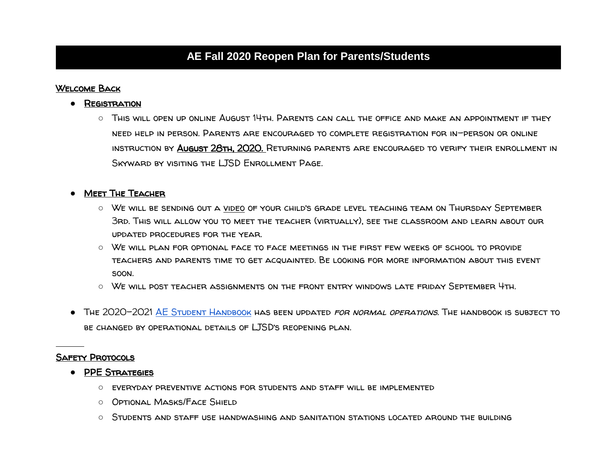### **AE Fall 2020 Reopen Plan for Parents/Students**

#### Welcome Back

- **REGISTRATION** 
	- This will open up online August 14th. Parents can call the office and make an appointment if they need help in person. Parents are encouraged to complete registration for in-person or online instruction by August 28th, 2020. Returning parents are encouraged to verify their enrollment in Skyward by visiting the [LJSD Enrollment Page.](https://www.sd272.org/parents-students/enrollment)

#### **• MEET THE TEACHER**

- We will be sending out a video of your child's grade level teaching team on Thursday September 3rd. This will allow you to meet the teacher (virtually), see the classroom and learn about our updated procedures for the year.
- We will plan for optional face to face meetings in the first few weeks of school to provide teachers and parents time to get acquainted. Be looking for more information about this event soon.
- We will post teacher assignments on the front entry windows late friday September 4th.
- The 2020-2021 [AE Student Handbook](https://docs.google.com/document/d/14HsDtJFUT2F8jA_1NyzVQqTLhvNTSo97arorSTQWJYM/edit?usp=sharing) has been updated for normal operations. The handbook is subject to be changed by operational details of LJSD's reopening plan.

#### Safety Protocols

- PPE Strategies
	- everyday preventive actions for students and staff will be implemented
	- Optional Masks/Face Shield
	- Students and staff use handwashing and sanitation stations located around the building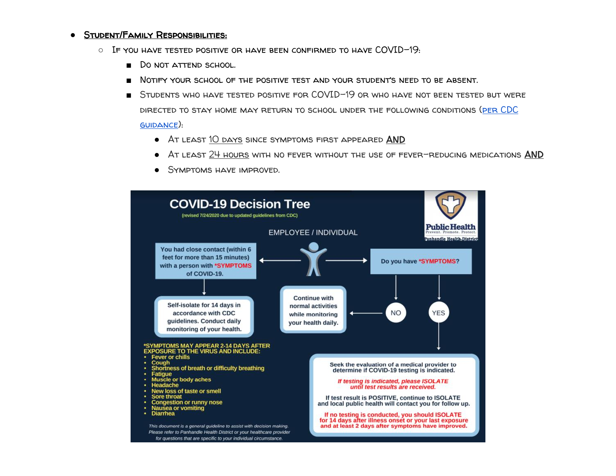#### ● Student/Family Responsibilities:

- $\circ$  If you have tested positive or have been confirmed to have COVID-19:
	- Do not attend school.
	- NOTIFY YOUR SCHOOL OF THE POSITIVE TEST AND YOUR STUDENT'S NEED TO BE ABSENT.
	- STUDENTS WHO HAVE TESTED POSITIVE FOR COVID-19 OR WHO HAVE NOT BEEN TESTED BUT WERE directed to stay home may return to school under the following conditions [\(per CDC](https://www.cdc.gov/coronavirus/2019-ncov/if-you-are-sick/end-home-isolation.html)  [guidance\)](https://www.cdc.gov/coronavirus/2019-ncov/if-you-are-sick/end-home-isolation.html):
		- At least 10 days since symptoms first appeared AND
		- AT LEAST 24 HOURS WITH NO FEVER WITHOUT THE USE OF FEVER-REDUCING MEDICATIONS AND
		- SYMPTOMS HAVE IMPROVED.

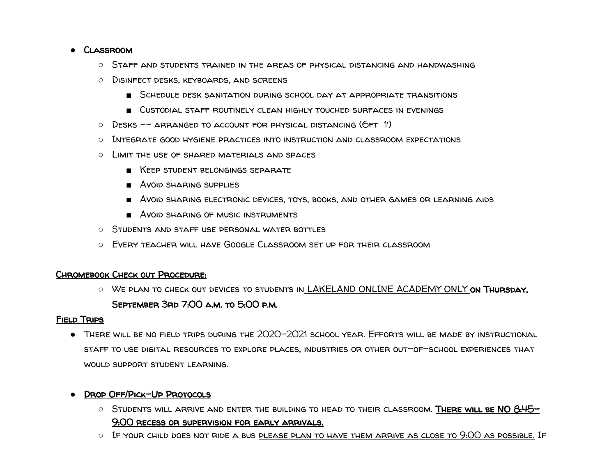#### ● Classroom

- Staff and students trained in the areas of physical distancing and handwashing
- Disinfect desks, keyboards, and screens
	- Schedule desk sanitation during school day at appropriate transitions
	- Custodial staff routinely clean highly touched surfaces in evenings
- $\circ$  Desks -- arranged to account for physical distancing (6ft 1)
- Integrate good hygiene practices into instruction and classroom expectations
- Limit the use of shared materials and spaces
	- Keep student belongings separate
	- Avoid sharing supplies
	- Avoid sharing electronic devices, toys, books, and other games or learning aids
	- **AVOID SHARING OF MUSIC INSTRUMENTS**
- Students and staff use personal water bottles
- Every teacher will have Google Classroom set up for their classroom

#### Chromebook Check out Procedure:

O WE PLAN TO CHECK OUT DEVICES TO STUDENTS IN LAKELAND ONLINE ACADEMY ONLY ON THURSDAY. September 3rd 7:00 a.m. to 5:00 p.m.

#### Field Trips

● There will be no field trips during the 2020-2021 school year. Efforts will be made by instructional staff to use digital resources to explore places, industries or other out-of-school experiences that WOULD SUPPORT STUDENT LEARNING.

#### ● Drop Off/Pick-Up Protocols

- $\circ$  Students will arrive and enter the building to head to their classroom. There will be NO 8:45-9:00 recess or supervision for early arrivals.
- $\circ$  . If your child does not ride a bus please plan to have them arrive as close to  $9:00$  as possible. If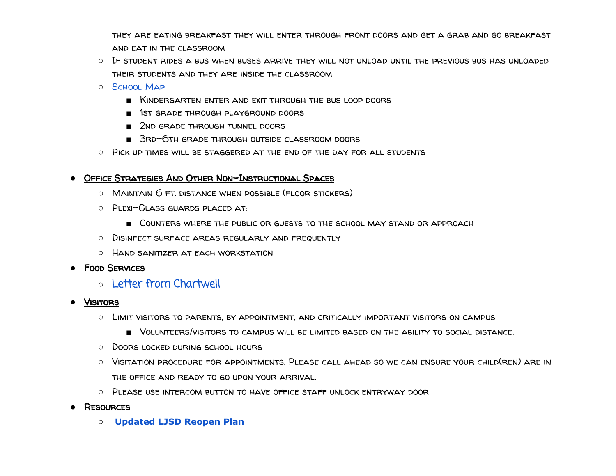they are eating breakfast they will enter through front doors and get a grab and go breakfast and eat in the classroom

- If student rides a bus when buses arrive they will not unload until the previous bus has unloaded their students and they are inside the classroom
- [School Map](https://drive.google.com/file/d/0B0xvvy1_NkGmakgtaHc1a3o0WEplVjdaeUx0cmNteDBZT3pz/view?usp=sharing)
	- Kindergarten enter and exit through the bus loop doors
	- 1st grade through playground doors
	- 2ND GRADE THROUGH TUNNEL DOORS
	- 3rd-6th grade through outside classroom doors
- Pick up times will be staggered at the end of the day for all students

#### ● Office Strategies And Other Non-Instructional Spaces

- $\circ$  Maintain  $6$  Ft. distance when possible (floor stickers)
- Plexi-Glass guards placed at:
	- Counters where the public or guests to the school may stand or approach
- Disinfect surface areas regularly and frequently
- Hand sanitizer at each workstation

#### ● Food Services

- [Letter from Chartwell](https://drive.google.com/file/d/1S7pV9MYg3gPSWL6Id9hYeNDrXflLcUgK/view?usp=sharing)
- Visitors
	- Limit visitors to parents, by appointment, and critically important visitors on campus
		- Volunteers/visitors to campus will be limited based on the ability to social distance.
	- Doors locked during school hours
	- Visitation procedure for appointments. Please call ahead so we can ensure your child(ren) are in the office and ready to go upon your arrival.
	- Please use intercom button to have office staff unlock entryway door
- **RESOURCES** 
	- **[Updated LJSD Reopen Plan](https://docs.google.com/document/d/1tgnITlZbImeCbvQfP9nu_QNvU80YKKsgsOXhCGpj9A4/edit?ts=5f484166)**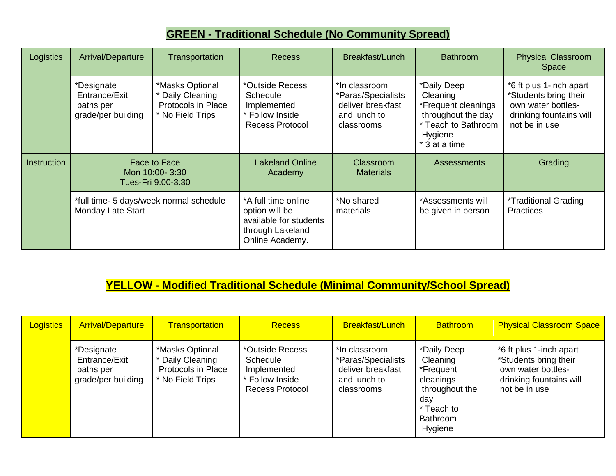## **GREEN - Traditional Schedule (No Community Spread)**

| Logistics          | Arrival/Departure                                              | Transportation                                                                | <b>Recess</b>                                                                                          | Breakfast/Lunch                                                                        | <b>Bathroom</b>                                                                                                         | <b>Physical Classroom</b><br>Space                                                                                 |
|--------------------|----------------------------------------------------------------|-------------------------------------------------------------------------------|--------------------------------------------------------------------------------------------------------|----------------------------------------------------------------------------------------|-------------------------------------------------------------------------------------------------------------------------|--------------------------------------------------------------------------------------------------------------------|
|                    | *Designate<br>Entrance/Exit<br>paths per<br>grade/per building | *Masks Optional<br>* Daily Cleaning<br>Protocols in Place<br>* No Field Trips | *Outside Recess<br>Schedule<br>Implemented<br>Follow Inside<br><b>Recess Protocol</b>                  | *In classroom<br>*Paras/Specialists<br>deliver breakfast<br>and lunch to<br>classrooms | *Daily Deep<br>Cleaning<br>*Frequent cleanings<br>throughout the day<br>* Teach to Bathroom<br>Hygiene<br>* 3 at a time | *6 ft plus 1-inch apart<br>*Students bring their<br>own water bottles-<br>drinking fountains will<br>not be in use |
| <b>Instruction</b> | Face to Face<br>Mon 10:00-3:30<br>Tues-Fri 9:00-3:30           |                                                                               | <b>Lakeland Online</b><br>Academy                                                                      | Classroom<br><b>Materials</b>                                                          | <b>Assessments</b>                                                                                                      | Grading                                                                                                            |
|                    | *full time- 5 days/week normal schedule<br>Monday Late Start   |                                                                               | *A full time online<br>option will be<br>available for students<br>through Lakeland<br>Online Academy. | *No shared<br>materials                                                                | *Assessments will<br>be given in person                                                                                 | <i>*Traditional Grading</i><br><b>Practices</b>                                                                    |

### **YELLOW - Modified Traditional Schedule (Minimal Community/School Spread)**

| <b>Logistics</b> | <b>Arrival/Departure</b>                                       | <b>Transportation</b>                                                         | <b>Recess</b>                                                                           | <b>Breakfast/Lunch</b>                                                                 | <b>Bathroom</b>                                                                                                 | <b>Physical Classroom Space</b>                                                                                    |
|------------------|----------------------------------------------------------------|-------------------------------------------------------------------------------|-----------------------------------------------------------------------------------------|----------------------------------------------------------------------------------------|-----------------------------------------------------------------------------------------------------------------|--------------------------------------------------------------------------------------------------------------------|
|                  | *Designate<br>Entrance/Exit<br>paths per<br>grade/per building | *Masks Optional<br>* Daily Cleaning<br>Protocols in Place<br>* No Field Trips | *Outside Recess<br>Schedule<br>Implemented<br>* Follow Inside<br><b>Recess Protocol</b> | *In classroom<br>*Paras/Specialists<br>deliver breakfast<br>and lunch to<br>classrooms | *Daily Deep<br>Cleaning<br>*Frequent<br>cleanings<br>throughout the<br>day<br>* Teach to<br>Bathroom<br>Hygiene | *6 ft plus 1-inch apart<br>*Students bring their<br>own water bottles-<br>drinking fountains will<br>not be in use |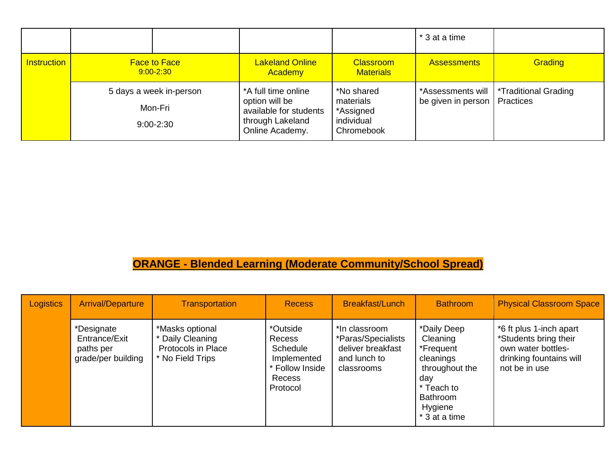|                    |                                                     |                                                                                                        |                                                                  | * 3 at a time                           |                                   |
|--------------------|-----------------------------------------------------|--------------------------------------------------------------------------------------------------------|------------------------------------------------------------------|-----------------------------------------|-----------------------------------|
| <b>Instruction</b> | <b>Face to Face</b><br>$9:00 - 2:30$                | <b>Lakeland Online</b><br>Academy                                                                      | <b>Classroom</b><br><b>Materials</b>                             | <b>Assessments</b>                      | Grading                           |
|                    | 5 days a week in-person<br>Mon-Fri<br>$9:00 - 2:30$ | *A full time online<br>option will be<br>available for students<br>through Lakeland<br>Online Academy. | *No shared<br>materials<br>*Assigned<br>individual<br>Chromebook | *Assessments will<br>be given in person | *Traditional Grading<br>Practices |

# **ORANGE - Blended Learning (Moderate Community/School Spread)**

| <b>Logistics</b> | <b>Arrival/Departure</b>                                       | <b>Transportation</b>                                                         | <b>Recess</b>                                                                                 | <b>Breakfast/Lunch</b>                                                                 | <b>Bathroom</b>                                                                                                                         | <b>Physical Classroom Space</b>                                                                                    |
|------------------|----------------------------------------------------------------|-------------------------------------------------------------------------------|-----------------------------------------------------------------------------------------------|----------------------------------------------------------------------------------------|-----------------------------------------------------------------------------------------------------------------------------------------|--------------------------------------------------------------------------------------------------------------------|
|                  | *Designate<br>Entrance/Exit<br>paths per<br>grade/per building | *Masks optional<br>* Daily Cleaning<br>Protocols in Place<br>* No Field Trips | *Outside<br><b>Recess</b><br>Schedule<br>Implemented<br>* Follow Inside<br>Recess<br>Protocol | *In classroom<br>*Paras/Specialists<br>deliver breakfast<br>and lunch to<br>classrooms | *Daily Deep<br>Cleaning<br>*Frequent<br>cleanings<br>throughout the<br>day<br>* Teach to<br><b>Bathroom</b><br>Hygiene<br>* 3 at a time | *6 ft plus 1-inch apart<br>*Students bring their<br>own water bottles-<br>drinking fountains will<br>not be in use |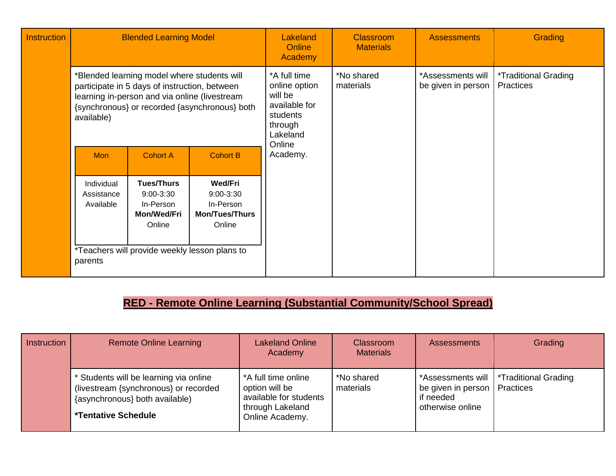| <b>Instruction</b> | <b>Blended Learning Model</b>                                                                                                                                                                                |                                                                                                                           |                                                                                 | Lakeland<br>Online<br>Academy                                                                                                     | <b>Classroom</b><br><b>Materials</b>    | <b>Assessments</b>                                     | Grading |
|--------------------|--------------------------------------------------------------------------------------------------------------------------------------------------------------------------------------------------------------|---------------------------------------------------------------------------------------------------------------------------|---------------------------------------------------------------------------------|-----------------------------------------------------------------------------------------------------------------------------------|-----------------------------------------|--------------------------------------------------------|---------|
|                    | *Blended learning model where students will<br>participate in 5 days of instruction, between<br>learning in-person and via online (livestream<br>{synchronous} or recorded {asynchronous} both<br>available) |                                                                                                                           |                                                                                 | *A full time<br>*No shared<br>online option<br>materials<br>will be<br>available for<br>students<br>through<br>Lakeland<br>Online | *Assessments will<br>be given in person | <i><b>*Traditional Grading</b></i><br><b>Practices</b> |         |
|                    | <b>Mon</b>                                                                                                                                                                                                   | <b>Cohort A</b>                                                                                                           | <b>Cohort B</b>                                                                 | Academy.                                                                                                                          |                                         |                                                        |         |
|                    | Individual<br>Assistance<br>Available<br>parents                                                                                                                                                             | <b>Tues/Thurs</b><br>$9:00 - 3:30$<br>In-Person<br>Mon/Wed/Fri<br>Online<br>*Teachers will provide weekly lesson plans to | <b>Wed/Fri</b><br>$9:00 - 3:30$<br>In-Person<br><b>Mon/Tues/Thurs</b><br>Online |                                                                                                                                   |                                         |                                                        |         |

# **RED - Remote Online Learning (Substantial Community/School Spread)**

| <b>Instruction</b> | <b>Remote Online Learning</b>                                                                                                                   | <b>Lakeland Online</b><br>Academy                                                                      | <b>Classroom</b><br><b>Materials</b> | <b>Assessments</b>                                              | Grading                                  |
|--------------------|-------------------------------------------------------------------------------------------------------------------------------------------------|--------------------------------------------------------------------------------------------------------|--------------------------------------|-----------------------------------------------------------------|------------------------------------------|
|                    | * Students will be learning via online<br>(livestream {synchronous} or recorded<br>{asynchronous} both available)<br><b>*Tentative Schedule</b> | *A full time online<br>option will be<br>available for students<br>through Lakeland<br>Online Academy. | *No shared<br>materials              | be given in person   Practices<br>if needed<br>otherwise online | *Assessments will   *Traditional Grading |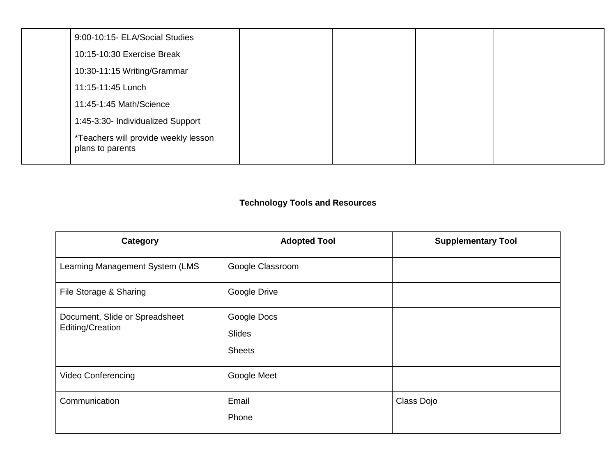| 9:00-10:15- ELA/Social Studies                           |  |  |
|----------------------------------------------------------|--|--|
| 10:15-10:30 Exercise Break                               |  |  |
| 10:30-11:15 Writing/Grammar                              |  |  |
| 11:15-11:45 Lunch                                        |  |  |
| 11:45-1:45 Math/Science                                  |  |  |
| 1:45-3:30- Individualized Support                        |  |  |
| *Teachers will provide weekly lesson<br>plans to parents |  |  |

### **Technology Tools and Resources**

| Category                                           | <b>Adopted Tool</b>                    | <b>Supplementary Tool</b> |
|----------------------------------------------------|----------------------------------------|---------------------------|
| Learning Management System (LMS                    | Google Classroom                       |                           |
| File Storage & Sharing                             | Google Drive                           |                           |
| Document, Slide or Spreadsheet<br>Editing/Creation | Google Docs<br>Slides<br><b>Sheets</b> |                           |
| Video Conferencing                                 | Google Meet                            |                           |
| Communication                                      | Email<br>Phone                         | Class Dojo                |